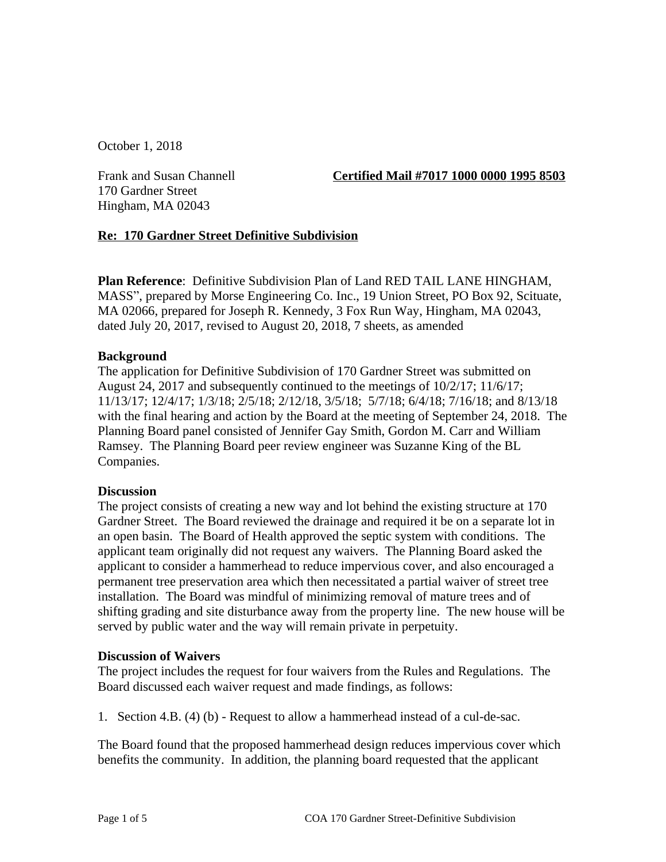October 1, 2018

Frank and Susan Channell **Certified Mail #7017 1000 0000 1995 8503**

170 Gardner Street Hingham, MA 02043

# **Re: 170 Gardner Street Definitive Subdivision**

**Plan Reference**: Definitive Subdivision Plan of Land RED TAIL LANE HINGHAM, MASS", prepared by Morse Engineering Co. Inc., 19 Union Street, PO Box 92, Scituate, MA 02066, prepared for Joseph R. Kennedy, 3 Fox Run Way, Hingham, MA 02043, dated July 20, 2017, revised to August 20, 2018, 7 sheets, as amended

# **Background**

The application for Definitive Subdivision of 170 Gardner Street was submitted on August 24, 2017 and subsequently continued to the meetings of 10/2/17; 11/6/17; 11/13/17; 12/4/17; 1/3/18; 2/5/18; 2/12/18, 3/5/18; 5/7/18; 6/4/18; 7/16/18; and 8/13/18 with the final hearing and action by the Board at the meeting of September 24, 2018. The Planning Board panel consisted of Jennifer Gay Smith, Gordon M. Carr and William Ramsey. The Planning Board peer review engineer was Suzanne King of the BL Companies.

# **Discussion**

The project consists of creating a new way and lot behind the existing structure at 170 Gardner Street. The Board reviewed the drainage and required it be on a separate lot in an open basin. The Board of Health approved the septic system with conditions. The applicant team originally did not request any waivers. The Planning Board asked the applicant to consider a hammerhead to reduce impervious cover, and also encouraged a permanent tree preservation area which then necessitated a partial waiver of street tree installation. The Board was mindful of minimizing removal of mature trees and of shifting grading and site disturbance away from the property line. The new house will be served by public water and the way will remain private in perpetuity.

# **Discussion of Waivers**

The project includes the request for four waivers from the Rules and Regulations. The Board discussed each waiver request and made findings, as follows:

1. Section 4.B. (4) (b) - Request to allow a hammerhead instead of a cul-de-sac.

The Board found that the proposed hammerhead design reduces impervious cover which benefits the community. In addition, the planning board requested that the applicant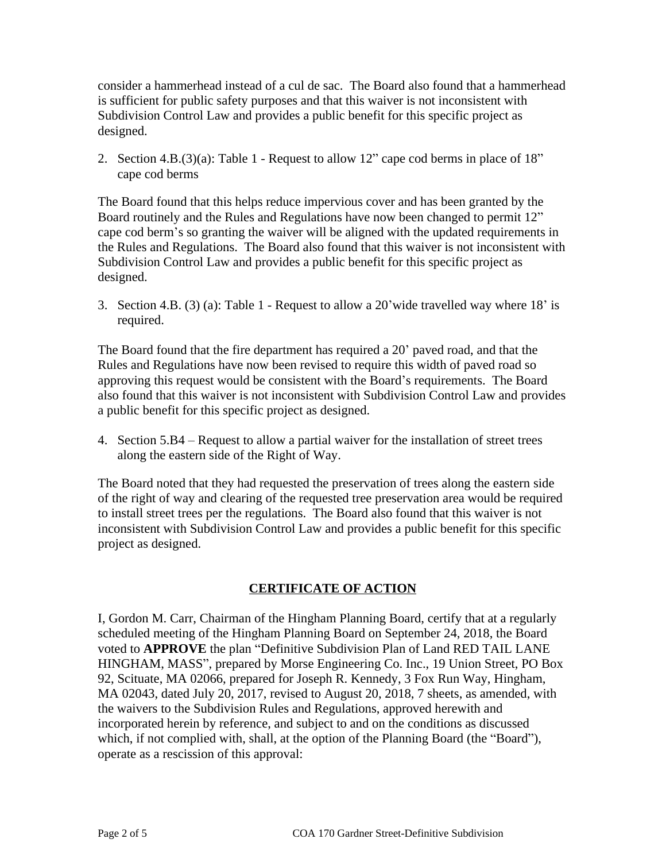consider a hammerhead instead of a cul de sac. The Board also found that a hammerhead is sufficient for public safety purposes and that this waiver is not inconsistent with Subdivision Control Law and provides a public benefit for this specific project as designed.

2. Section 4.B.(3)(a): Table 1 - Request to allow 12" cape cod berms in place of 18" cape cod berms

The Board found that this helps reduce impervious cover and has been granted by the Board routinely and the Rules and Regulations have now been changed to permit 12" cape cod berm's so granting the waiver will be aligned with the updated requirements in the Rules and Regulations. The Board also found that this waiver is not inconsistent with Subdivision Control Law and provides a public benefit for this specific project as designed.

3. Section 4.B. (3) (a): Table 1 - Request to allow a 20'wide travelled way where 18' is required.

The Board found that the fire department has required a 20' paved road, and that the Rules and Regulations have now been revised to require this width of paved road so approving this request would be consistent with the Board's requirements. The Board also found that this waiver is not inconsistent with Subdivision Control Law and provides a public benefit for this specific project as designed.

4. Section 5.B4 – Request to allow a partial waiver for the installation of street trees along the eastern side of the Right of Way.

The Board noted that they had requested the preservation of trees along the eastern side of the right of way and clearing of the requested tree preservation area would be required to install street trees per the regulations. The Board also found that this waiver is not inconsistent with Subdivision Control Law and provides a public benefit for this specific project as designed.

# **CERTIFICATE OF ACTION**

I, Gordon M. Carr, Chairman of the Hingham Planning Board, certify that at a regularly scheduled meeting of the Hingham Planning Board on September 24, 2018, the Board voted to **APPROVE** the plan "Definitive Subdivision Plan of Land RED TAIL LANE HINGHAM, MASS", prepared by Morse Engineering Co. Inc., 19 Union Street, PO Box 92, Scituate, MA 02066, prepared for Joseph R. Kennedy, 3 Fox Run Way, Hingham, MA 02043, dated July 20, 2017, revised to August 20, 2018, 7 sheets, as amended, with the waivers to the Subdivision Rules and Regulations, approved herewith and incorporated herein by reference, and subject to and on the conditions as discussed which, if not complied with, shall, at the option of the Planning Board (the "Board"), operate as a rescission of this approval: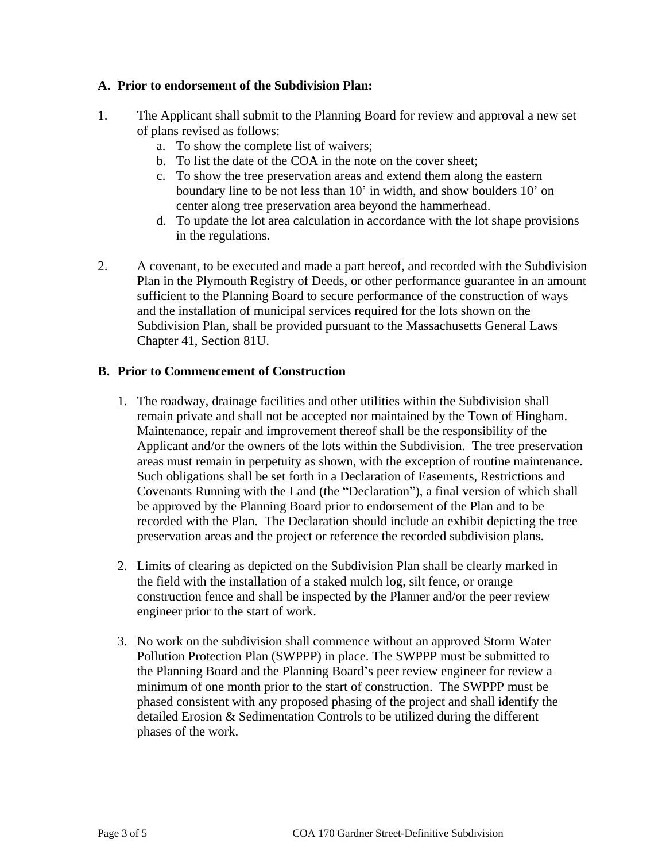#### **A. Prior to endorsement of the Subdivision Plan:**

- 1. The Applicant shall submit to the Planning Board for review and approval a new set of plans revised as follows:
	- a. To show the complete list of waivers;
	- b. To list the date of the COA in the note on the cover sheet;
	- c. To show the tree preservation areas and extend them along the eastern boundary line to be not less than 10' in width, and show boulders 10' on center along tree preservation area beyond the hammerhead.
	- d. To update the lot area calculation in accordance with the lot shape provisions in the regulations.
- 2. A covenant, to be executed and made a part hereof, and recorded with the Subdivision Plan in the Plymouth Registry of Deeds, or other performance guarantee in an amount sufficient to the Planning Board to secure performance of the construction of ways and the installation of municipal services required for the lots shown on the Subdivision Plan, shall be provided pursuant to the Massachusetts General Laws Chapter 41, Section 81U.

#### **B. Prior to Commencement of Construction**

- 1. The roadway, drainage facilities and other utilities within the Subdivision shall remain private and shall not be accepted nor maintained by the Town of Hingham. Maintenance, repair and improvement thereof shall be the responsibility of the Applicant and/or the owners of the lots within the Subdivision. The tree preservation areas must remain in perpetuity as shown, with the exception of routine maintenance. Such obligations shall be set forth in a Declaration of Easements, Restrictions and Covenants Running with the Land (the "Declaration"), a final version of which shall be approved by the Planning Board prior to endorsement of the Plan and to be recorded with the Plan. The Declaration should include an exhibit depicting the tree preservation areas and the project or reference the recorded subdivision plans.
- 2. Limits of clearing as depicted on the Subdivision Plan shall be clearly marked in the field with the installation of a staked mulch log, silt fence, or orange construction fence and shall be inspected by the Planner and/or the peer review engineer prior to the start of work.
- 3. No work on the subdivision shall commence without an approved Storm Water Pollution Protection Plan (SWPPP) in place. The SWPPP must be submitted to the Planning Board and the Planning Board's peer review engineer for review a minimum of one month prior to the start of construction. The SWPPP must be phased consistent with any proposed phasing of the project and shall identify the detailed Erosion & Sedimentation Controls to be utilized during the different phases of the work.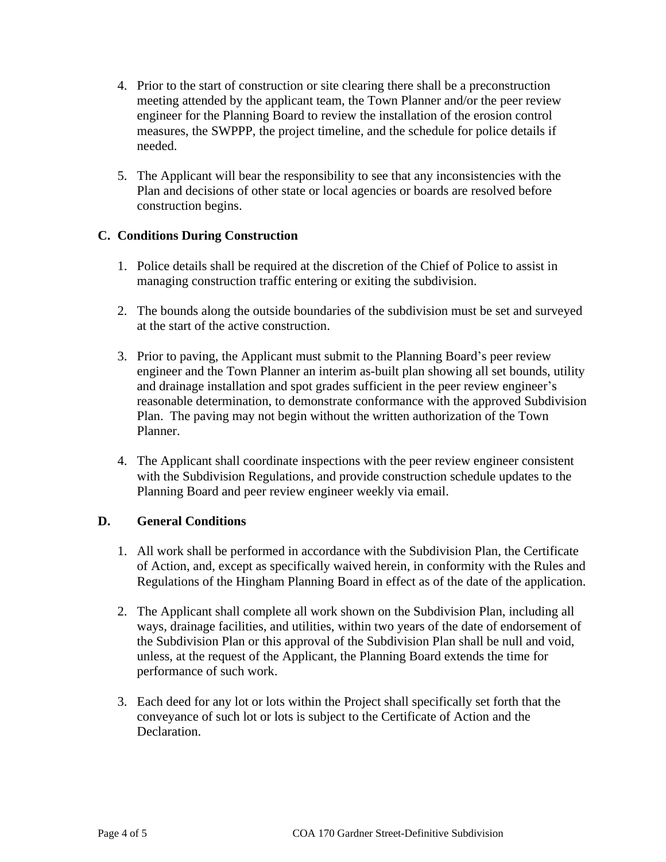- 4. Prior to the start of construction or site clearing there shall be a preconstruction meeting attended by the applicant team, the Town Planner and/or the peer review engineer for the Planning Board to review the installation of the erosion control measures, the SWPPP, the project timeline, and the schedule for police details if needed.
- 5. The Applicant will bear the responsibility to see that any inconsistencies with the Plan and decisions of other state or local agencies or boards are resolved before construction begins.

# **C. Conditions During Construction**

- 1. Police details shall be required at the discretion of the Chief of Police to assist in managing construction traffic entering or exiting the subdivision.
- 2. The bounds along the outside boundaries of the subdivision must be set and surveyed at the start of the active construction.
- 3. Prior to paving, the Applicant must submit to the Planning Board's peer review engineer and the Town Planner an interim as-built plan showing all set bounds, utility and drainage installation and spot grades sufficient in the peer review engineer's reasonable determination, to demonstrate conformance with the approved Subdivision Plan. The paving may not begin without the written authorization of the Town Planner.
- 4. The Applicant shall coordinate inspections with the peer review engineer consistent with the Subdivision Regulations, and provide construction schedule updates to the Planning Board and peer review engineer weekly via email.

# **D. General Conditions**

- 1. All work shall be performed in accordance with the Subdivision Plan, the Certificate of Action, and, except as specifically waived herein, in conformity with the Rules and Regulations of the Hingham Planning Board in effect as of the date of the application.
- 2. The Applicant shall complete all work shown on the Subdivision Plan, including all ways, drainage facilities, and utilities, within two years of the date of endorsement of the Subdivision Plan or this approval of the Subdivision Plan shall be null and void, unless, at the request of the Applicant, the Planning Board extends the time for performance of such work.
- 3. Each deed for any lot or lots within the Project shall specifically set forth that the conveyance of such lot or lots is subject to the Certificate of Action and the Declaration.